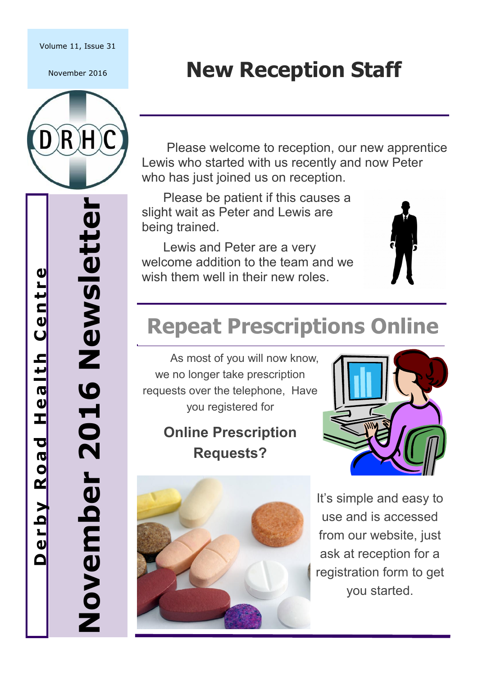#### Volume 11, Issue 31

November 2016



# **New Reception Staff**

 Please welcome to reception, our new apprentice Lewis who started with us recently and now Peter who has just joined us on reception.

 Please be patient if this causes a slight wait as Peter and Lewis are being trained.

 Lewis and Peter are a very welcome addition to the team and we wish them well in their new roles.



## **Repeat Prescriptions Online**

As most of you will now know, we no longer take prescription requests over the telephone, Have you registered for

### **Online Prescription Requests?**





It's simple and easy to use and is accessed from our website, just ask at reception for a registration form to get you started.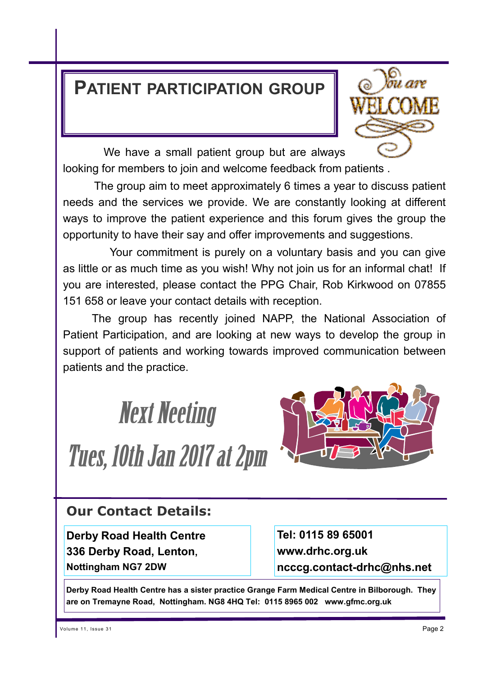#### **PATIENT PARTICIPATION GROUP**



 We have a small patient group but are always looking for members to join and welcome feedback from patients .

 The group aim to meet approximately 6 times a year to discuss patient needs and the services we provide. We are constantly looking at different ways to improve the patient experience and this forum gives the group the opportunity to have their say and offer improvements and suggestions.

 Your commitment is purely on a voluntary basis and you can give as little or as much time as you wish! Why not join us for an informal chat! If you are interested, please contact the PPG Chair, Rob Kirkwood on 07855 151 658 or leave your contact details with reception.

The group has recently joined NAPP, the National Association of Patient Participation, and are looking at new ways to develop the group in support of patients and working towards improved communication between patients and the practice.



#### **Our Contact Details:**

**Derby Road Health Centre 336 Derby Road, Lenton, Nottingham NG7 2DW**

**Tel: 0115 89 65001 www.drhc.org.uk ncccg.contact-drhc@nhs.net**

**Derby Road Health Centre has a sister practice Grange Farm Medical Centre in Bilborough. They are on Tremayne Road, Nottingham. NG8 4HQ Tel: 0115 8965 002 www.gfmc.org.uk**